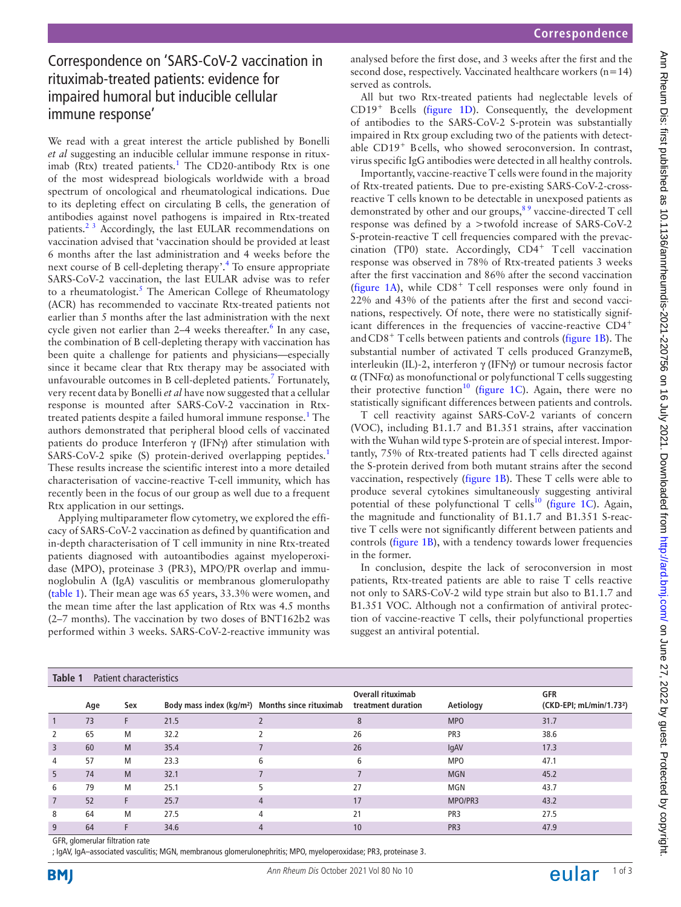## Correspondence on 'SARS-CoV-2 vaccination in rituximab-treated patients: evidence for impaired humoral but inducible cellular immune response'

We read with a great interest the article published by Bonelli *et al* suggesting an inducible cellular immune response in ritux-imab (Rtx) treated patients.<sup>[1](#page-2-0)</sup> The CD20-antibody Rtx is one of the most widespread biologicals worldwide with a broad spectrum of oncological and rheumatological indications. Due to its depleting effect on circulating B cells, the generation of antibodies against novel pathogens is impaired in Rtx-treated patients.[2 3](#page-2-1) Accordingly, the last EULAR recommendations on vaccination advised that 'vaccination should be provided at least 6 months after the last administration and 4 weeks before the next course of B cell-depleting therapy'.<sup>4</sup> To ensure appropriate SARS-CoV-2 vaccination, the last EULAR advise was to refer to a rheumatologist.<sup>[5](#page-2-3)</sup> The American College of Rheumatology (ACR) has recommended to vaccinate Rtx-treated patients not earlier than 5 months after the last administration with the next cycle given not earlier than 2–4 weeks thereafter.<sup>[6](#page-2-4)</sup> In any case, the combination of B cell-depleting therapy with vaccination has been quite a challenge for patients and physicians—especially since it became clear that Rtx therapy may be associated with unfavourable outcomes in B cell-depleted patients.<sup>[7](#page-2-5)</sup> Fortunately, very recent data by Bonelli *et al* have now suggested that a cellular response is mounted after SARS-CoV-2 vaccination in Rtx-treated patients despite a failed humoral immune response.<sup>[1](#page-2-0)</sup> The authors demonstrated that peripheral blood cells of vaccinated patients do produce Interferon γ (IFNγ) after stimulation with SARS-CoV-2 spike (S) protein-derived overlapping peptides.<sup>[1](#page-2-0)</sup> These results increase the scientific interest into a more detailed characterisation of vaccine-reactive T-cell immunity, which has recently been in the focus of our group as well due to a frequent Rtx application in our settings.

Applying multiparameter flow cytometry, we explored the efficacy of SARS-CoV-2 vaccination as defined by quantification and in-depth characterisation of T cell immunity in nine Rtx-treated patients diagnosed with autoantibodies against myeloperoxidase (MPO), proteinase 3 (PR3), MPO/PR overlap and immunoglobulin A (IgA) vasculitis or membranous glomerulopathy ([table](#page-0-0) 1). Their mean age was 65 years, 33.3% were women, and the mean time after the last application of Rtx was 4.5 months (2–7 months). The vaccination by two doses of BNT162b2 was performed within 3 weeks. SARS-CoV-2-reactive immunity was

analysed before the first dose, and 3 weeks after the first and the second dose, respectively. Vaccinated healthcare workers (n=14) served as controls.

All but two Rtx-treated patients had neglectable levels of CD19+ Bcells [\(figure](#page-1-0) 1D). Consequently, the development of antibodies to the SARS-CoV-2 S-protein was substantially impaired in Rtx group excluding two of the patients with detectable CD19+ Bcells, who showed seroconversion. In contrast, virus specific IgG antibodies were detected in all healthy controls.

Importantly, vaccine-reactive T cells were found in the majority of Rtx-treated patients. Due to pre-existing SARS-CoV-2-crossreactive T cells known to be detectable in unexposed patients as demonstrated by other and our groups,<sup>89</sup> vaccine-directed T cell response was defined by a >twofold increase of SARS-CoV-2 S-protein-reactive T cell frequencies compared with the prevaccination (TP0) state. Accordingly, CD4<sup>+</sup> Tcell vaccination response was observed in 78% of Rtx-treated patients 3 weeks after the first vaccination and 86% after the second vaccination ([figure](#page-1-0) 1A), while  $CD8<sup>+</sup>$  Tcell responses were only found in 22% and 43% of the patients after the first and second vaccinations, respectively. Of note, there were no statistically significant differences in the frequencies of vaccine-reactive CD4<sup>+</sup> and CD8<sup>+</sup> T cells between patients and controls ([figure](#page-1-0) 1B). The substantial number of activated T cells produced GranzymeB, interleukin (IL)-2, interferon γ (IFNγ) or tumour necrosis factor  $\alpha$  (TNF $\alpha$ ) as monofunctional or polyfunctional T cells suggesting their protective function<sup>[10](#page-2-7)</sup> ([figure](#page-1-0) 1C). Again, there were no statistically significant differences between patients and controls.

T cell reactivity against SARS-CoV-2 variants of concern (VOC), including B1.1.7 and B1.351 strains, after vaccination with the Wuhan wild type S-protein are of special interest. Importantly, 75% of Rtx-treated patients had T cells directed against the S-protein derived from both mutant strains after the second vaccination, respectively ([figure](#page-1-0) 1B). These T cells were able to produce several cytokines simultaneously suggesting antiviral potential of these polyfunctional T cells<sup>10</sup> [\(figure](#page-1-0) 1C). Again, the magnitude and functionality of B1.1.7 and B1.351 S-reactive T cells were not significantly different between patients and controls ([figure](#page-1-0) 1B), with a tendency towards lower frequencies in the former.

In conclusion, despite the lack of seroconversion in most patients, Rtx-treated patients are able to raise T cells reactive not only to SARS-CoV-2 wild type strain but also to B1.1.7 and B1.351 VOC. Although not a confirmation of antiviral protection of vaccine-reactive T cells, their polyfunctional properties suggest an antiviral potential.

<span id="page-0-0"></span>

| Table 1<br>Patient characteristics |     |     |                                                             |   |                                                |                 |                                                    |
|------------------------------------|-----|-----|-------------------------------------------------------------|---|------------------------------------------------|-----------------|----------------------------------------------------|
|                                    | Age | Sex | Body mass index (kg/m <sup>2</sup> ) Months since rituximab |   | <b>Overall rituximab</b><br>treatment duration | Aetiology       | <b>GFR</b><br>(CKD-EPI; mL/min/1.73 <sup>2</sup> ) |
|                                    | 73  | F.  | 21.5                                                        |   | 8                                              | <b>MPO</b>      | 31.7                                               |
| 2                                  | 65  | M   | 32.2                                                        |   | 26                                             | PR <sub>3</sub> | 38.6                                               |
| $\overline{\mathbf{3}}$            | 60  | M   | 35.4                                                        |   | 26                                             | lgAV            | 17.3                                               |
| 4                                  | 57  | M   | 23.3                                                        | 6 | 6                                              | <b>MPO</b>      | 47.1                                               |
| -5                                 | 74  | M   | 32.1                                                        |   |                                                | <b>MGN</b>      | 45.2                                               |
| 6                                  | 79  | M   | 25.1                                                        |   | 27                                             | MGN             | 43.7                                               |
| $\overline{7}$                     | 52  | F.  | 25.7                                                        |   | 17                                             | MPO/PR3         | 43.2                                               |
| 8                                  | 64  | M   | 27.5                                                        | 4 | 21                                             | PR <sub>3</sub> | 27.5                                               |
| 9                                  | 64  |     | 34.6                                                        |   | 10                                             | PR <sub>3</sub> | 47.9                                               |

GFR, glomerular filtration rate

; IgAV, IgA–associated vasculitis; MGN, membranous glomerulonephritis; MPO, myeloperoxidase; PR3, proteinase 3.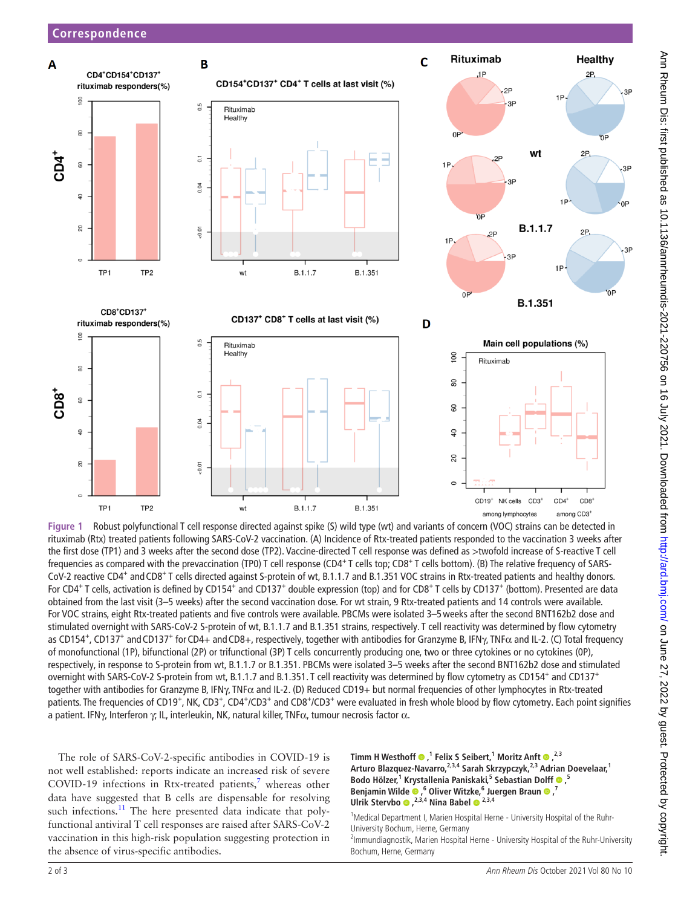

<span id="page-1-0"></span>**Figure 1** Robust polyfunctional T cell response directed against spike (S) wild type (wt) and variants of concern (VOC) strains can be detected in rituximab (Rtx) treated patients following SARS-CoV-2 vaccination. (A) Incidence of Rtx-treated patients responded to the vaccination 3 weeks after the first dose (TP1) and 3 weeks after the second dose (TP2). Vaccine-directed T cell response was defined as >twofold increase of S-reactive T cell frequencies as compared with the prevaccination (TP0) T cell response (CD4<sup>+</sup> T cells top; CD8<sup>+</sup> T cells bottom). (B) The relative frequency of SARS-CoV-2 reactive CD4<sup>+</sup> and CD8<sup>+</sup> T cells directed against S-protein of wt, B.1.1.7 and B.1.351 VOC strains in Rtx-treated patients and healthy donors. For CD4<sup>+</sup> T cells, activation is defined by CD154<sup>+</sup> and CD137<sup>+</sup> double expression (top) and for CD8<sup>+</sup> T cells by CD137<sup>+</sup> (bottom). Presented are data obtained from the last visit (3–5 weeks) after the second vaccination dose. For wt strain, 9 Rtx-treated patients and 14 controls were available. For VOC strains, eight Rtx-treated patients and five controls were available. PBCMs were isolated 3–5weeks after the second BNT162b2 dose and stimulated overnight with SARS-CoV-2 S-protein of wt, B.1.1.7 and B.1.351 strains, respectively. T cell reactivity was determined by flow cytometry as CD154<sup>+</sup>, CD137<sup>+</sup> and CD137<sup>+</sup> for CD4+ and CD8+, respectively, together with antibodies for Granzyme B, IFN $\gamma$ , TNF $\alpha$  and IL-2. (C) Total frequency of monofunctional (1P), bifunctional (2P) or trifunctional (3P) T cells concurrently producing one, two or three cytokines or no cytokines (0P), respectively, in response to S-protein from wt, B.1.1.7 or B.1.351. PBCMs were isolated 3–5 weeks after the second BNT162b2 dose and stimulated overnight with SARS-CoV-2 S-protein from wt, B.1.1.7 and B.1.351. T cell reactivity was determined by flow cytometry as CD154<sup>+</sup> and CD137<sup>+</sup> together with antibodies for Granzyme B, IFNγ, TNFα and IL-2. (D) Reduced CD19+ but normal frequencies of other lymphocytes in Rtx-treated patients. The frequencies of CD19<sup>+</sup>, NK, CD3<sup>+</sup>, CD4<sup>+</sup>/CD3<sup>+</sup> and CD8<sup>+</sup>/CD3<sup>+</sup> were evaluated in fresh whole blood by flow cytometry. Each point signifies a patient. IFNγ, Interferon γ; IL, interleukin, NK, natural killer, TNF $\alpha$ , tumour necrosis factor  $\alpha$ .

**Timm H Westhoff ,1 Felix S Seibert,1 Moritz Anft,2,3** Arturo Blazquez-Navarro,<sup>2,3,4</sup> Sarah Skrzypczyk,<sup>2,3</sup> Adrian Doevelaar,<sup>1</sup> **BodoHölzer,**<sup>1</sup> Krystallenia Paniskaki,<sup>5</sup> Sebastian Dolff  $\bullet$ ,<sup>5</sup> **Benjamin Wilde · 6**, <sup>6</sup> Oliver Witzke, <sup>6</sup> Juergen Braun · 7 **Ulrik Stervbo ,2,3,4 Nina Babel2,3,4**

<sup>1</sup>Medical Department I, Marien Hospital Herne - University Hospital of the Ruhr-University Bochum, Herne, Germany

<sup>2</sup>Immundiagnostik, Marien Hospital Herne - University Hospital of the Ruhr-University Bochum, Herne, Germany